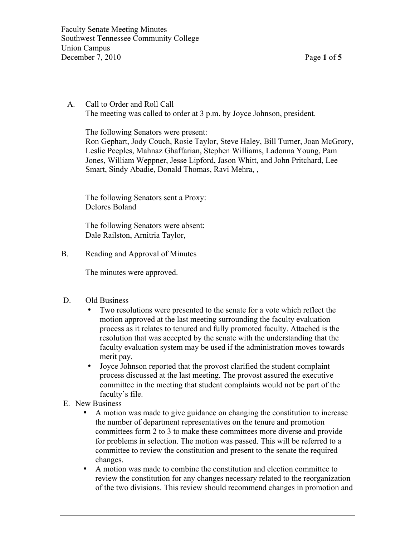Faculty Senate Meeting Minutes Southwest Tennessee Community College Union Campus December 7, 2010 Page **1** of **5**

 A. Call to Order and Roll Call The meeting was called to order at 3 p.m. by Joyce Johnson, president.

The following Senators were present:

Ron Gephart, Jody Couch, Rosie Taylor, Steve Haley, Bill Turner, Joan McGrory, Leslie Peeples, Mahnaz Ghaffarian, Stephen Williams, Ladonna Young, Pam Jones, William Weppner, Jesse Lipford, Jason Whitt, and John Pritchard, Lee Smart, Sindy Abadie, Donald Thomas, Ravi Mehra, ,

The following Senators sent a Proxy: Delores Boland

The following Senators were absent: Dale Railston, Arnitria Taylor,

B. Reading and Approval of Minutes

The minutes were approved.

- D. Old Business
	- Two resolutions were presented to the senate for a vote which reflect the motion approved at the last meeting surrounding the faculty evaluation process as it relates to tenured and fully promoted faculty. Attached is the resolution that was accepted by the senate with the understanding that the faculty evaluation system may be used if the administration moves towards merit pay.
	- Joyce Johnson reported that the provost clarified the student complaint process discussed at the last meeting. The provost assured the executive committee in the meeting that student complaints would not be part of the faculty's file.
- E. New Business
	- A motion was made to give guidance on changing the constitution to increase the number of department representatives on the tenure and promotion committees form 2 to 3 to make these committees more diverse and provide for problems in selection. The motion was passed. This will be referred to a committee to review the constitution and present to the senate the required changes.
	- A motion was made to combine the constitution and election committee to review the constitution for any changes necessary related to the reorganization of the two divisions. This review should recommend changes in promotion and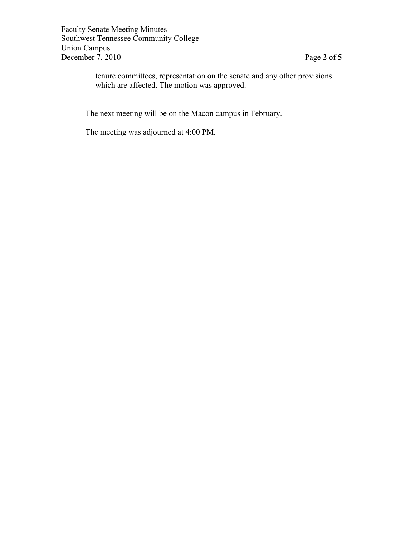Faculty Senate Meeting Minutes Southwest Tennessee Community College Union Campus December 7, 2010 Page **2** of **5**

tenure committees, representation on the senate and any other provisions which are affected. The motion was approved.

The next meeting will be on the Macon campus in February.

The meeting was adjourned at 4:00 PM.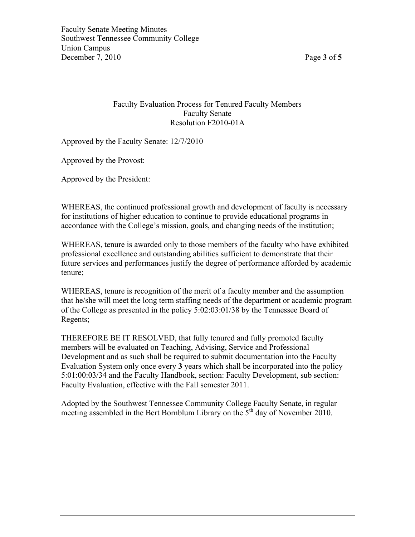## Faculty Evaluation Process for Tenured Faculty Members Faculty Senate Resolution F2010-01A

Approved by the Faculty Senate: 12/7/2010

Approved by the Provost:

Approved by the President:

WHEREAS, the continued professional growth and development of faculty is necessary for institutions of higher education to continue to provide educational programs in accordance with the College's mission, goals, and changing needs of the institution;

WHEREAS, tenure is awarded only to those members of the faculty who have exhibited professional excellence and outstanding abilities sufficient to demonstrate that their future services and performances justify the degree of performance afforded by academic tenure;

WHEREAS, tenure is recognition of the merit of a faculty member and the assumption that he/she will meet the long term staffing needs of the department or academic program of the College as presented in the policy 5:02:03:01/38 by the Tennessee Board of Regents;

THEREFORE BE IT RESOLVED, that fully tenured and fully promoted faculty members will be evaluated on Teaching, Advising, Service and Professional Development and as such shall be required to submit documentation into the Faculty Evaluation System only once every **3** years which shall be incorporated into the policy 5:01:00:03/34 and the Faculty Handbook, section: Faculty Development, sub section: Faculty Evaluation, effective with the Fall semester 2011.

Adopted by the Southwest Tennessee Community College Faculty Senate, in regular meeting assembled in the Bert Bornblum Library on the  $5<sup>th</sup>$  day of November 2010.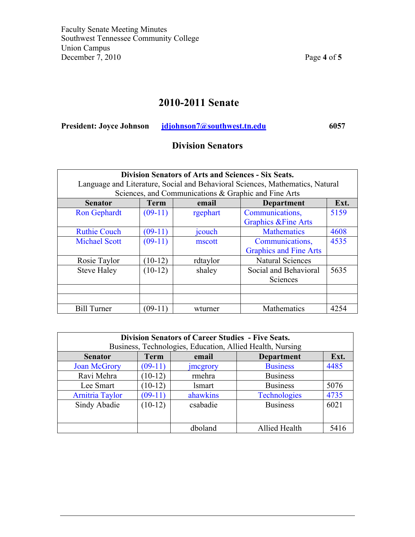# **2010-2011 Senate**

| <b>President: Joyce Johnson</b> | idjohnson7@southwest.tn.edu | 6057 |
|---------------------------------|-----------------------------|------|
|                                 |                             |      |

# **Division Senators**

| <b>Division Senators of Arts and Sciences - Six Seats.</b><br>Language and Literature, Social and Behavioral Sciences, Mathematics, Natural |             |                                                      |                                 |      |
|---------------------------------------------------------------------------------------------------------------------------------------------|-------------|------------------------------------------------------|---------------------------------|------|
|                                                                                                                                             |             | Sciences, and Communications & Graphic and Fine Arts |                                 |      |
| <b>Senator</b>                                                                                                                              | <b>Term</b> | email                                                | <b>Department</b>               | Ext. |
| <b>Ron Gephardt</b>                                                                                                                         | $(09-11)$   | rgephart                                             | Communications,                 | 5159 |
|                                                                                                                                             |             |                                                      | <b>Graphics &amp; Fine Arts</b> |      |
| <b>Ruthie Couch</b>                                                                                                                         | $(09-11)$   | jcouch                                               | <b>Mathematics</b>              | 4608 |
| <b>Michael Scott</b>                                                                                                                        | $(09-11)$   | mscott                                               | Communications,                 | 4535 |
|                                                                                                                                             |             |                                                      | <b>Graphics and Fine Arts</b>   |      |
| Rosie Taylor                                                                                                                                | $(10-12)$   | rdtaylor                                             | <b>Natural Sciences</b>         |      |
| <b>Steve Haley</b>                                                                                                                          | $(10-12)$   | shaley                                               | Social and Behavioral           | 5635 |
|                                                                                                                                             |             |                                                      | Sciences                        |      |
|                                                                                                                                             |             |                                                      |                                 |      |
|                                                                                                                                             |             |                                                      |                                 |      |
| <b>Bill Turner</b>                                                                                                                          | $(09-11)$   | wturner                                              | Mathematics                     | 4254 |

| <b>Division Senators of Career Studies - Five Seats.</b><br>Business, Technologies, Education, Allied Health, Nursing |             |                  |                     |      |
|-----------------------------------------------------------------------------------------------------------------------|-------------|------------------|---------------------|------|
| <b>Senator</b>                                                                                                        | <b>Term</b> | email            | <b>Department</b>   | Ext. |
| <b>Joan McGrory</b>                                                                                                   | $(09-11)$   | <i>s</i> mcgrory | <b>Business</b>     | 4485 |
| Ravi Mehra                                                                                                            | $(10-12)$   | rmehra           | <b>Business</b>     |      |
| Lee Smart                                                                                                             | $(10-12)$   | lsmart           | <b>Business</b>     | 5076 |
| <b>Arnitria Taylor</b>                                                                                                | $(09-11)$   | ahawkins         | <b>Technologies</b> | 4735 |
| Sindy Abadie                                                                                                          | $(10-12)$   | csabadie         | <b>Business</b>     | 6021 |
|                                                                                                                       |             |                  |                     |      |
|                                                                                                                       |             | dboland          | Allied Health       | 5416 |